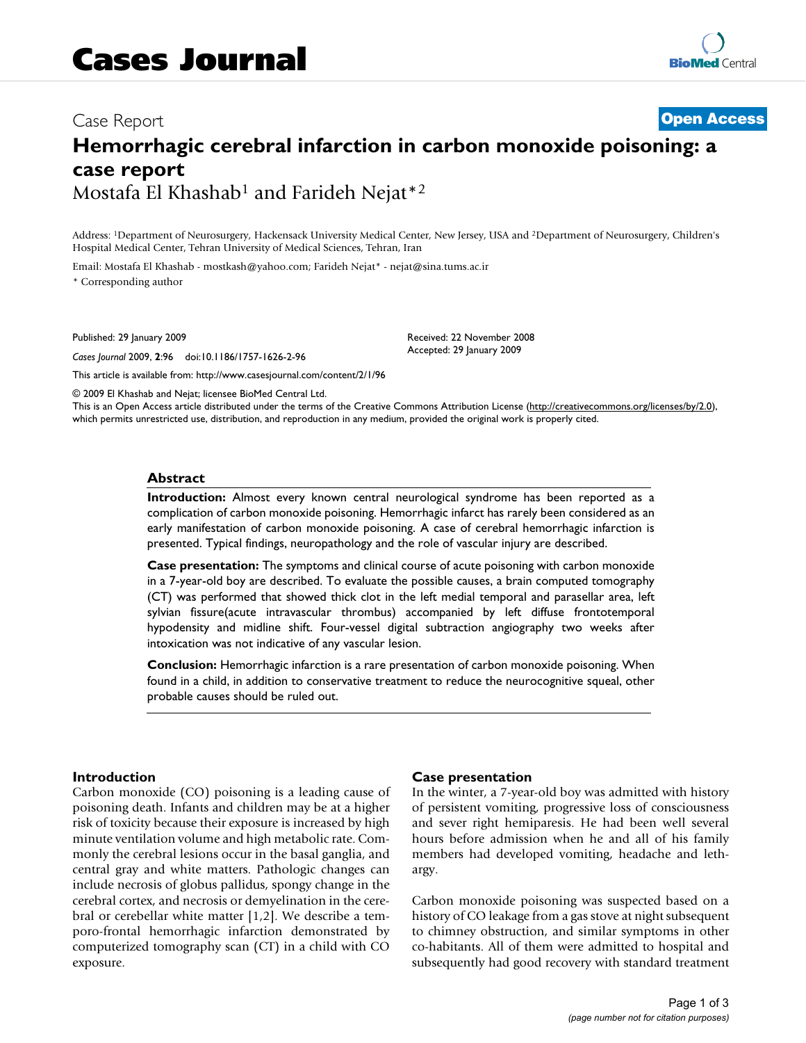# Case Report **[Open Access](http://www.biomedcentral.com/info/about/charter/) Hemorrhagic cerebral infarction in carbon monoxide poisoning: a case report** Mostafa El Khashab1 and Farideh Nejat\*2

Address: 1Department of Neurosurgery, Hackensack University Medical Center, New Jersey, USA and 2Department of Neurosurgery, Children's Hospital Medical Center, Tehran University of Medical Sciences, Tehran, Iran

Email: Mostafa El Khashab - mostkash@yahoo.com; Farideh Nejat\* - nejat@sina.tums.ac.ir

\* Corresponding author

Published: 29 January 2009

*Cases Journal* 2009, **2**:96 doi:10.1186/1757-1626-2-96

[This article is available from: http://www.casesjournal.com/content/2/1/96](http://www.casesjournal.com/content/2/1/96)

© 2009 El Khashab and Nejat; licensee BioMed Central Ltd.

This is an Open Access article distributed under the terms of the Creative Commons Attribution License [\(http://creativecommons.org/licenses/by/2.0\)](http://creativecommons.org/licenses/by/2.0), which permits unrestricted use, distribution, and reproduction in any medium, provided the original work is properly cited.

Received: 22 November 2008 Accepted: 29 January 2009

#### **Abstract**

**Introduction:** Almost every known central neurological syndrome has been reported as a complication of carbon monoxide poisoning. Hemorrhagic infarct has rarely been considered as an early manifestation of carbon monoxide poisoning. A case of cerebral hemorrhagic infarction is presented. Typical findings, neuropathology and the role of vascular injury are described.

**Case presentation:** The symptoms and clinical course of acute poisoning with carbon monoxide in a 7-year-old boy are described. To evaluate the possible causes, a brain computed tomography (CT) was performed that showed thick clot in the left medial temporal and parasellar area, left sylvian fissure(acute intravascular thrombus) accompanied by left diffuse frontotemporal hypodensity and midline shift. Four-vessel digital subtraction angiography two weeks after intoxication was not indicative of any vascular lesion.

**Conclusion:** Hemorrhagic infarction is a rare presentation of carbon monoxide poisoning. When found in a child, in addition to conservative treatment to reduce the neurocognitive squeal, other probable causes should be ruled out.

#### **Introduction**

Carbon monoxide (CO) poisoning is a leading cause of poisoning death. Infants and children may be at a higher risk of toxicity because their exposure is increased by high minute ventilation volume and high metabolic rate. Commonly the cerebral lesions occur in the basal ganglia, and central gray and white matters. Pathologic changes can include necrosis of globus pallidus, spongy change in the cerebral cortex, and necrosis or demyelination in the cerebral or cerebellar white matter [1,2]. We describe a temporo-frontal hemorrhagic infarction demonstrated by computerized tomography scan (CT) in a child with CO exposure.

#### **Case presentation**

In the winter, a 7-year-old boy was admitted with history of persistent vomiting, progressive loss of consciousness and sever right hemiparesis. He had been well several hours before admission when he and all of his family members had developed vomiting, headache and lethargy.

Carbon monoxide poisoning was suspected based on a history of CO leakage from a gas stove at night subsequent to chimney obstruction, and similar symptoms in other co-habitants. All of them were admitted to hospital and subsequently had good recovery with standard treatment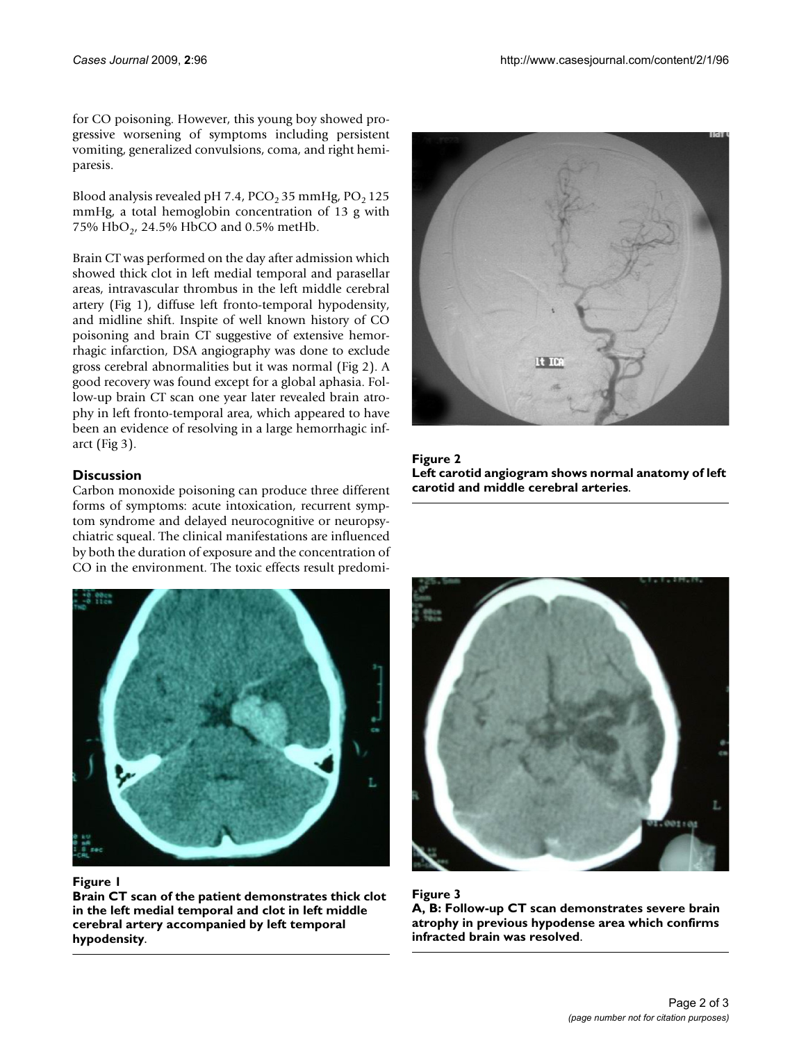for CO poisoning. However, this young boy showed progressive worsening of symptoms including persistent vomiting, generalized convulsions, coma, and right hemiparesis.

Blood analysis revealed pH 7.4, PCO<sub>2</sub> 35 mmHg, PO<sub>2</sub> 125 mmHg, a total hemoglobin concentration of 13 g with 75% HbO<sub>2</sub>, 24.5% HbCO and 0.5% metHb.

Brain CT was performed on the day after admission which showed thick clot in left medial temporal and parasellar areas, intravascular thrombus in the left middle cerebral artery (Fig 1), diffuse left fronto-temporal hypodensity, and midline shift. Inspite of well known history of CO poisoning and brain CT suggestive of extensive hemorrhagic infarction, DSA angiography was done to exclude gross cerebral abnormalities but it was normal (Fig 2). A good recovery was found except for a global aphasia. Follow-up brain CT scan one year later revealed brain atrophy in left fronto-temporal area, which appeared to have been an evidence of resolving in a large hemorrhagic infarct (Fig 3).

# **Discussion**

Carbon monoxide poisoning can produce three different forms of symptoms: acute intoxication, recurrent symptom syndrome and delayed neurocognitive or neuropsychiatric squeal. The clinical manifestations are influenced by both the duration of exposure and the concentration of CO in the environment. The toxic effects result predomi-



#### Figure 1

**Brain CT scan of the patient demonstrates thick clot in the left medial temporal and clot in left middle cerebral artery accompanied by left temporal hypodensity**.